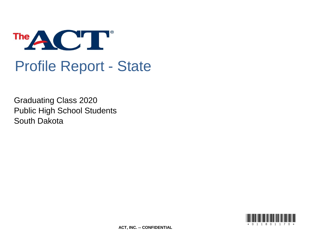

# Profile Report - State

Graduating Class 2020 Public High School Students South Dakota

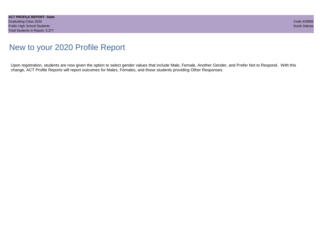### New to your 2020 Profile Report

Upon registration, students are now given the option to select gender values that include Male, Female, Another Gender, and Prefer Not to Respond. With this change, ACT Profile Reports will report outcomes for Males, Females, and those students providing Other Responses.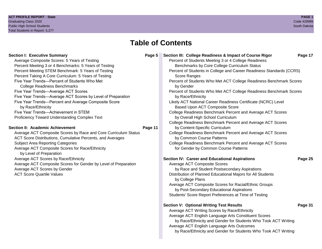### **Table of Contents**

| <b>Section I: Executive Summary</b>                             | Page 5  | Section III: College Readiness & Impact of Course Rigor                         | Page 17 |
|-----------------------------------------------------------------|---------|---------------------------------------------------------------------------------|---------|
| Average Composite Scores: 5 Years of Testing                    |         | Percent of Students Meeting 3 or 4 College Readiness                            |         |
| Percent Meeting 3 or 4 Benchmarks: 5 Years of Testing           |         | Benchmarks by Core College Curriculum Status                                    |         |
| Percent Meeting STEM Benchmark: 5 Years of Testing              |         | Percent of Students in College and Career Readiness Standards (CCRS)            |         |
| Percent Taking A Core Curriculum: 5 Years of Testing            |         | Score Ranges                                                                    |         |
| Five Year Trends-Percent of Students Who Met                    |         | Percent of Students Who Met ACT College Readiness Benchmark Scores              |         |
| <b>College Readiness Benchmarks</b>                             |         | by Gender                                                                       |         |
| Five Year Trends-Average ACT Scores                             |         | Percent of Students Who Met ACT College Readiness Benchmark Scores              |         |
| Five Year Trends-Average ACT Scores by Level of Preparation     |         | by Race/Ethnicity                                                               |         |
| Five Year Trends-Percent and Average Composite Score            |         | Likely ACT National Career Readiness Certificate (NCRC) Level                   |         |
| by Race/Ethnicity                                               |         | Based Upon ACT Composite Score                                                  |         |
| Five Year Trends-Achievement in STEM                            |         | College Readiness Benchmark Percent and Average ACT Scores                      |         |
| Proficiency Toward Understanding Complex Text                   |         | by Overall High School Curriculum                                               |         |
|                                                                 |         | College Readiness Benchmark Percent and Average ACT Scores                      |         |
| <b>Section II: Academic Achievement</b>                         | Page 11 | by Content-Specific Curriculum                                                  |         |
| Average ACT Composite Scores by Race and Core Curriculum Status |         | College Readiness Benchmark Percent and Average ACT Scores                      |         |
| ACT Score Distributions, Cumulative Percents, and Averages      |         | by Common Course Patterns                                                       |         |
| <b>Subject Area Reporting Categories</b>                        |         | College Readiness Benchmark Percent and Average ACT Scores                      |         |
| Average ACT Composite Scores for Race/Ethnicity                 |         | for Gender by Common Course Patterns                                            |         |
| by Level of Preparation                                         |         |                                                                                 |         |
| Average ACT Scores by Race/Ethnicity                            |         | <b>Section IV: Career and Educational Aspirations</b>                           | Page 25 |
| Average ACT Composite Scores for Gender by Level of Preparation |         | Average ACT Composite Scores                                                    |         |
| Average ACT Scores by Gender                                    |         | by Race and Student Postsecondary Aspirations                                   |         |
| <b>ACT Score Quartile Values</b>                                |         | Distribution of Planned Educational Majors for All Students<br>by College Plans |         |
|                                                                 |         | Average ACT Composite Scores for Racial/Ethnic Groups                           |         |
|                                                                 |         | by Post-Secondary Educational Aspirations                                       |         |
|                                                                 |         | Students' Score Report Preferences at Time of Testing                           |         |
|                                                                 |         | <b>Section V: Optional Writing Test Results</b>                                 | Page 31 |
|                                                                 |         | Average ACT Writing Scores by Race/Ethnicity                                    |         |
|                                                                 |         | Average ACT English Language Arts Constituent Scores                            |         |
|                                                                 |         | by Race/Ethnicity and Gender for Students Who Took ACT Writing                  |         |
|                                                                 |         | Average ACT English Language Arts Outcomes                                      |         |

by Race/Ethnicity and Gender for Students Who Took ACT Writing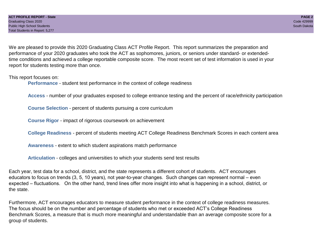We are pleased to provide this 2020 Graduating Class ACT Profile Report. This report summarizes the preparation and performance of your 2020 graduates who took the ACT as sophomores, juniors, or seniors under standard- or extendedtime conditions and achieved a college reportable composite score. The most recent set of test information is used in your report for students testing more than once.

This report focuses on:

**Performance** - student test performance in the context of college readiness

**Access** - number of your graduates exposed to college entrance testing and the percent of race/ethnicity participation

**Course Selection** - percent of students pursuing a core curriculum

**Course Rigor** - impact of rigorous coursework on achievement

**College Readiness** - percent of students meeting ACT College Readiness Benchmark Scores in each content area

**Awareness** - extent to which student aspirations match performance

**Articulation** - colleges and universities to which your students send test results

Each year, test data for a school, district, and the state represents a different cohort of students. ACT encourages educators to focus on trends (3, 5, 10 years), not year-to-year changes. Such changes can represent normal – even expected – fluctuations. On the other hand, trend lines offer more insight into what is happening in a school, district, or the state.

Furthermore, ACT encourages educators to measure student performance in the context of college readiness measures. The focus should be on the number and percentage of students who met or exceeded ACT's College Readiness Benchmark Scores, a measure that is much more meaningful and understandable than an average composite score for a group of students.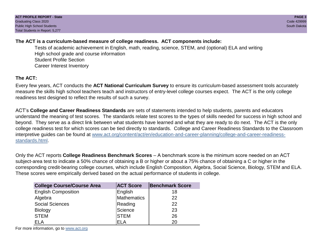### **The ACT is a curriculum-based measure of college readiness. ACT components include:**

Tests of academic achievement in English, math, reading, science, STEM, and (optional) ELA and writing High school grade and course information Student Profile Section Career Interest Inventory

### **The ACT:**

Every few years, ACT conducts the **ACT National Curriculum Survey** to ensure its curriculum-based assessment tools accurately measure the skills high school teachers teach and instructors of entry-level college courses expect. The ACT is the only college readiness test designed to reflect the results of such a survey.

ACT's **College and Career Readiness Standards** are sets of statements intended to help students, parents and educators understand the meaning of test scores. The standards relate test scores to the types of skills needed for success in high school and beyond. They serve as a direct link between what students have learned and what they are ready to do next. The ACT is the only college readiness test for which scores can be tied directly to standards. College and Career Readiness Standards to the Classroom interpretive guides can be found at www.act.org/content/act/en/education-and-career-planning/college-and-career-readinessstandards.html.

Only the ACT reports **College Readiness Benchmark Scores** – A benchmark score is the minimum score needed on an ACT subject-area test to indicate a 50% chance of obtaining a B or higher or about a 75% chance of obtaining a C or higher in the corresponding credit-bearing college courses, which include English Composition, Algebra, Social Science, Biology, STEM and ELA. These scores were empirically derived based on the actual performance of students in college.

| <b>College Course/Course Area</b> | <b>ACT Score</b> | <b>Benchmark Score</b> |
|-----------------------------------|------------------|------------------------|
| <b>English Composition</b>        | English          | 18                     |
| Algebra                           | Mathematics      | 22                     |
| <b>Social Sciences</b>            | Reading          | 22                     |
| <b>Biology</b>                    | Science          | 23                     |
| <b>STEM</b>                       | <b>STEM</b>      | 26                     |
| FI A                              | FI A             | 20                     |

For more information, go to www.act.org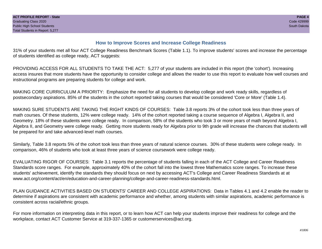#### **How to Improve Scores and Increase College Readiness**

31% of your students met all four ACT College Readiness Benchmark Scores (Table 1.1). To improve students' scores and increase the percentage of students identified as college ready, ACT suggests:

PROVIDING ACCESS FOR ALL STUDENTS TO TAKE THE ACT: 5,277 of your students are included in this report (the 'cohort'). Increasing access insures that more students have the opportunity to consider college and allows the reader to use this report to evaluate how well courses and instructional programs are preparing students for college and work.

MAKING CORE CURRICULUM A PRIORITY: Emphasize the need for all students to develop college and work ready skills, regardless of postsecondary aspirations. 85% of the students in the cohort reported taking courses that would be considered 'Core or More' (Table 1.4).

MAKING SURE STUDENTS ARE TAKING THE RIGHT KINDS OF COURSES: Table 3.8 reports 3% of the cohort took less than three years of math courses. Of these students, 12% were college ready. 14% of the cohort reported taking a course sequence of Algebra I, Algebra II, and Geometry. 18% of these students were college ready. In comparison, 58% of the students who took 3 or more years of math beyond Algebra I, Algebra II, and Geometry were college ready. Getting more students ready for Algebra prior to 9th grade will increase the chances that students will be prepared for and take advanced-level math courses.

Similarly, Table 3.8 reports 5% of the cohort took less than three years of natural science courses. 30% of these students were college ready. In comparison, 46% of students who took at least three years of science coursework were college ready.

EVALUATING RIGOR OF COURSES: Table 3.1 reports the percentage of students falling in each of the ACT College and Career Readiness Standards score ranges. For example, approximately 40% of the cohort fall into the lowest three Mathematics score ranges. To increase these students' achievement, identify the standards they should focus on next by accessing ACT's College and Career Readiness Standards at at www.act.org/content/act/en/education-and-career-planning/college-and-career-readiness-standards.html.

PLAN GUIDANCE ACTIVITIES BASED ON STUDENTS' CAREER AND COLLEGE ASPIRATIONS: Data in Tables 4.1 and 4.2 enable the reader to determine if aspirations are consistent with academic performance and whether, among students with similar aspirations, academic performance is consistent across racial/ethnic groups.

For more information on interpreting data in this report, or to learn how ACT can help your students improve their readiness for college and the workplace, contact ACT Customer Service at 319-337-1365 or customerservices@act.org.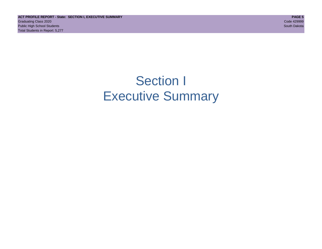## Section I Executive Summary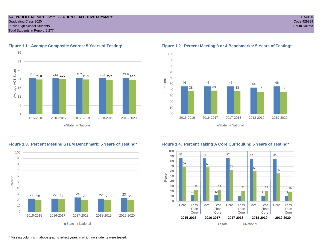#### **ACT PROFILE REPORT - State: SECTION I, EXECUTIVE SUMMARY PAGE 6** Graduating Class 2020 Code 429999 Public High School Students South Dakota Company of the Company of the Company of the Company of the Company of the Company of the Company of the Company of the Company of the Company of the Company of the Company of the C Total Students in Report: 5,277



#### **Figure 1.1. Average Composite Scores: 5 Years of Testing\* Figure 1.2. Percent Meeting 3 or 4 Benchmarks: 5 Years of Testing\***



#### **Figure 1.3. Percent Meeting STEM Benchmark: 5 Years of Testing\* Figure 1.4. Percent Taking A Core Curriculum: 5 Years of Testing\***



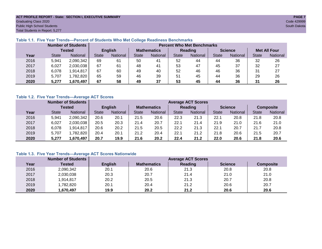#### **ACT PROFILE REPORT - State: SECTION I, EXECUTIVE SUMMARY PAGE 7**

Graduating Class 2020 Code 429999 Public High School Students South Dakota

Total Students in Report: 5,277

### **Table 1.1. Five Year Trends—Percent of Students Who Met College Readiness Benchmarks**

|      |              | <b>Number of Students</b> | <b>Percent Who Met Benchmarks</b> |                |       |                    |              |          |              |                |                     |          |  |
|------|--------------|---------------------------|-----------------------------------|----------------|-------|--------------------|--------------|----------|--------------|----------------|---------------------|----------|--|
|      |              | <b>Tested</b>             |                                   | <b>English</b> |       | <b>Mathematics</b> |              | Reading  |              | <b>Science</b> | <b>Met All Four</b> |          |  |
| Year | <b>State</b> | <b>National</b>           | <b>State</b>                      | National       | State | National           | <b>State</b> | National | <b>State</b> | National       | <b>State</b>        | National |  |
| 2016 | 5,941        | 2,090,342                 | 69                                | 61             | 50    | 41                 | 52           | 44       | 44           | 36             | 32                  | 26       |  |
| 2017 | 6,027        | 2,030,038                 | 67                                | 61             | 48    | 41                 | 53           | 47       | 45           | 37             | 32                  | 27       |  |
| 2018 | 6.078        | .914.817                  | 67                                | 60             | 49    | 40                 | 52           | 46       | 46           | 36             | 31                  | 27       |  |
| 2019 | 5.707        | ,782,820                  | 65                                | 59             | 46    | 39                 | 51           | 45       | 44           | 36             | 29                  | 26       |  |
| 2020 | 5,277        | 1,670,497                 | 67                                | 58             | 49    | 37                 | 53           | 45       | 44           | 36             | 31                  | 26       |  |

#### **Table 1.2. Five Year Trends—Average ACT Scores**

|      |              | <b>Number of Students</b> |              |                | <b>Average ACT Scores</b> |                    |       |                |              |                |                  |          |  |  |
|------|--------------|---------------------------|--------------|----------------|---------------------------|--------------------|-------|----------------|--------------|----------------|------------------|----------|--|--|
|      |              | <b>Tested</b>             |              | <b>English</b> |                           | <b>Mathematics</b> |       | <b>Reading</b> |              | <b>Science</b> | <b>Composite</b> |          |  |  |
| Year | <b>State</b> | <b>National</b>           | <b>State</b> | National       | <b>State</b>              | National           | State | National       | <b>State</b> | National       | <b>State</b>     | National |  |  |
| 2016 | 5,941        | 2,090,342                 | 20.6         | 20.1           | 21.5                      | 20.6               | 22.3  | 21.3           | 22.1         | 20.8           | 21.8             | 20.8     |  |  |
| 2017 | 6,027        | 2,030,038                 | 20.5         | 20.3           | 21.4                      | 20.7               | 22.1  | 21.4           | 21.9         | 21.0           | 21.6             | 21.0     |  |  |
| 2018 | 6,078        | 914,817                   | 20.6         | 20.2           | 21.5                      | 20.5               | 22.2  | 21.3           | 22.1         | 20.7           | 21.7             | 20.8     |  |  |
| 2019 | 5.707        | ,782,820                  | 20.4         | 20.1           | 21.2                      | 20.4               | 22.1  | 21.2           | 21.8         | 20.6           | 21.5             | 20.7     |  |  |
| 2020 | 5,277        | 1,670,497                 | 20.7         | 19.9           | 21.6                      | 20.2               | 22.4  | 21.2           | 22.0         | 20.6           | 21.8             | 20.6     |  |  |

#### **Table 1.3. Five Year Trends—Average ACT Scores Nationwide**

|      | <b>Number of Students</b> |                |                    | <b>Average ACT Scores</b> |                |                  |
|------|---------------------------|----------------|--------------------|---------------------------|----------------|------------------|
| Year | Tested                    | <b>English</b> | <b>Mathematics</b> | Reading                   | <b>Science</b> | <b>Composite</b> |
| 2016 | 2,090,342                 | 20.1           | 20.6               | 21.3                      | 20.8           | 20.8             |
| 2017 | 2,030,038                 | 20.3           | 20.7               | 21.4                      | 21.0           | 21.0             |
| 2018 | 1,914,817                 | 20.2           | 20.5               | 21.3                      | 20.7           | 20.8             |
| 2019 | ,782,820                  | 20.1           | 20.4               | 21.2                      | 20.6           | 20.7             |
| 2020 | 1,670,497                 | 19.9           | 20.2               | 21.2                      | 20.6           | 20.6             |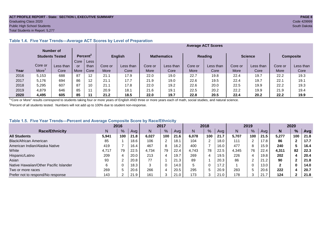#### **ACT PROFILE REPORT - State: SECTION I, EXECUTIVE SUMMARY PAGE 8** Graduating Class 2020 Code 429999 Public High School Students South Dakota (Control of the Control of the Control of the Control of the Control of the Control of the Control of the Control of the Control of the Control of the Control of the Control of the Total Students in Report: 5,277

|      |                   |                        |      |                      |             |                |         |                    |             | <b>Average ACT Scores</b> |         |                |         |                  |
|------|-------------------|------------------------|------|----------------------|-------------|----------------|---------|--------------------|-------------|---------------------------|---------|----------------|---------|------------------|
|      |                   | Number of              |      |                      |             |                |         |                    |             |                           |         |                |         |                  |
|      |                   | <b>Students Tested</b> |      | Percent <sup>2</sup> |             | <b>English</b> |         | <b>Mathematics</b> |             | <b>Reading</b>            |         | <b>Science</b> |         | <b>Composite</b> |
|      |                   |                        | Core | <b>Less</b>          |             |                |         |                    |             |                           |         |                |         |                  |
|      | Core or           | Less than              | or   | than                 | Core or     | Less than      | Core or | Less than          | Core or     | Less than                 | Core or | Less than      | Core or | Less than        |
| Year | More <sup>1</sup> | Core                   | More | Core                 | <b>More</b> | Core           | More    | Core               | <b>More</b> | Core                      | More    | Core           | More    | Core             |
| 2016 | 5,153             | 688                    | 87   | 12 <sup>2</sup>      | 21.1        | 17.9           | 22.0    | 19.0               | 22.7        | 19.8                      | 22.4    | 19.7           | 22.2    | 19.3             |
| 2017 | 5.176             | 694                    | 86   | 12                   | 21.1        | 17.7           | 21.9    | 19.0               | 22.6        | 19.5                      | 22.4    | 19.7           | 22.1    | 19.1             |
| 2018 | 5,295             | 607                    | 87   | 10                   | 21.1        | 17.8           | 22.0    | 19.2               | 22.6        | 20.0                      | 22.5    | 19.9           | 22.2    | 19.3             |
| 2019 | 4,879             | 646                    | 85   | 11                   | 20.9        | 18.1           | 21.6    | 19.1               | 22.5        | 20.2                      | 22.2    | 19.9           | 21.9    | 19.4             |
| 2020 | 4,495             | 605                    | 85   | 11                   | 21.2        | 18.5           | 22.0    | 19.7               | 22.8        | 20.5                      | 22.4    | 20.2           | 22.2    | 19.9             |

#### **Table 1.4. Five Year Trends—Average ACT Scores by Level of Preparation**

<sup>1</sup>"Core or More" results correspond to students taking four or more years of English AND three or more years each of math, social studies, and natural science.

 $2$ Percent of all students tested. Numbers will not add up to 100% due to student non-response.

#### **Table 1.5. Five Year Trends—Percent and Average Composite Score by Race/Ethnicity**

|                                        |       | 2016 |      |       | 2017          |      |       | 2018 |      |       | 2019     |      |       | 2020          |      |
|----------------------------------------|-------|------|------|-------|---------------|------|-------|------|------|-------|----------|------|-------|---------------|------|
| <b>Race/Ethnicity</b>                  | N     | %    | Avg  | N     | $\frac{9}{6}$ | Avg  | N     | %    | Avg  | N     | %        | Avg  | N     | $\frac{9}{6}$ | Avg  |
| <b>All Students</b>                    | 5,941 | 100  | 21.8 | 6.027 | 100           | 21.6 | 6,078 | 100  | 21.7 | 5.707 | 100      | 21.5 | 5,277 | 100           | 21.8 |
| <b>Black/African American</b>          | 85    |      | 18.6 | 106   |               | 18.1 | 104   |      | 18.0 | 111   |          | 17.8 | 86    |               | 17.7 |
| American Indian/Alaska Native          | 419   |      | 16.4 | 467   | 8             | 16.2 | 400   |      | 16.0 | 477   | 8        | 15.9 | 240   |               | 16.4 |
| White                                  | 4,717 | 79   | 22.5 | 4.734 | 79            | 22.4 | 4.743 | 78   | 22.5 | 4,345 | 76       | 22.4 | 4,311 | 82            | 22.3 |
| Hispanic/Latino                        | 209   | 4    | 20.0 | 213   |               | 19.7 | 269   | 4    | 19.5 | 226   | 4        | 19.8 | 202   |               | 20.4 |
| Asian                                  | 93    | ⌒    | 20.8 | 77    |               | 21.3 | 89    |      | 20.3 | 86    | $\Omega$ | 21.2 | 90    |               | 21.8 |
| Native Hawaiian/Other Pacific Islander | 6     |      | 18.3 |       |               | 14.0 | 5     |      | 17.2 |       |          | 13.0 |       | 0             | 14.0 |
| Two or more races                      | 269   | 5    | 20.6 | 266   |               | 20.5 | 295   |      | 20.9 | 283   | b        | 20.6 | 222   |               | 20.7 |
| Prefer not to respond/No response      | 143   | ◠    | 21.9 | 161   |               | 21.0 | 173   | ◠    | 21.0 | 178   | 3        | 21.  | 124   |               | 21.8 |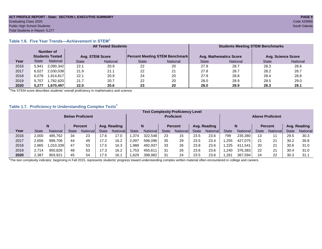#### **ACT PROFILE REPORT - State: SECTION I, EXECUTIVE SUMMARY PAGE 9** Graduating Class 2020 Code 429999 Public High School Students South Dakota (Control of the Control of the Control of the Control of the Control of the Control of the Control of the Control of the Control of the Control of the Control of the Control of the Total Students in Report: 5,277

#### **Table 1.6. Five Year Trends—Achievement in STEM<sup>1</sup>**

|      |              |                        |              | <b>All Tested Students</b> |              |                                       |       | <b>Students Meeting STEM Benchmarks</b> |       |                           |
|------|--------------|------------------------|--------------|----------------------------|--------------|---------------------------------------|-------|-----------------------------------------|-------|---------------------------|
|      |              | Number of              |              |                            |              |                                       |       |                                         |       |                           |
|      |              | <b>Students Tested</b> |              | <b>Avg. STEM Score</b>     |              | <b>Percent Meeting STEM Benchmark</b> |       | <b>Avg. Mathematics Score</b>           |       | <b>Avg. Science Score</b> |
| Year | <b>State</b> | National               | <b>State</b> | <b>National</b>            | <b>State</b> | <b>National</b>                       | State | National                                | State | National                  |
| 2016 | 5.941        | 2.090.342              | 22.1         | 20.9                       | 22           | 20                                    | 27.9  | 28.7                                    | 28.3  | 28.6                      |
| 2017 | 6.027        | 2.030.038              | 21.9         | 21.1                       | 22           | 21                                    | 27.8  | 28.7                                    | 28.2  | 28.7                      |
| 2018 | 6.078        | 1,914,817              | 22.1         | 20.9                       | 24           | 20                                    | 27.9  | 28.8                                    | 28.4  | 28.8                      |
| 2019 | 5.707        | .782.820               | 21.7         | 20.7                       | 22           | 20                                    | 28.0  | 28.9                                    | 28.5  | 29.0                      |
| 2020 | 5.277        | 1.670.497              | 22.0         | 20.6                       | 23           | 20                                    | 28.0  | 28.9                                    | 28.3  | 29.1                      |

<sup>1</sup>The STEM score describes students' overall proficiency in mathematics and science.

#### **Table 1.7. Proficiency In Understanding Complex Texts<sup>1</sup>**

|      |       |                 |              |                         |              |              |              |          |              | <b>Text Complexity Proficiency Level</b> |              |              |               |          |              |                         |              |                 |
|------|-------|-----------------|--------------|-------------------------|--------------|--------------|--------------|----------|--------------|------------------------------------------|--------------|--------------|---------------|----------|--------------|-------------------------|--------------|-----------------|
|      |       |                 |              | <b>Below Proficient</b> |              |              |              |          |              | <b>Proficient</b>                        |              |              |               |          |              | <b>Above Proficient</b> |              |                 |
|      |       | N               |              | <b>Percent</b>          |              | Avg. Reading |              |          |              | <b>Percent</b>                           |              | Avg. Reading |               | N        |              | <b>Percent</b>          |              | Avg. Reading    |
| Year | State | <b>National</b> | <b>State</b> | National                | <b>State</b> | National     | <b>State</b> | National | <b>State</b> | National                                 | <b>State</b> | National     | <b>State</b>  | National | <b>State</b> | National                | <b>State</b> | <b>National</b> |
| 2016 | 2,000 | 485,762         | 34           | 23                      | 17.6         | 17.0         | .374         | 322,548  | 23           | 15                                       | 23.5         | 23.6         | 799           | 235,380  | 13           | 11                      | 29.5         | 30.3            |
| 2017 | 2,656 | 999,708         | 44           | 49                      | 17.2         | 16.2         | 2,097        | 596,096  | 35           | 29                                       | 23.5         | 23.4         | ,255          | 427,075  | 21           | 21                      | 30.2         | 30.8            |
| 2018 | 2,865 | 1,010,339       | 47           | 53                      | 17.5         | 16.3         | .988         | 492,937  | 33           | 26                                       | 23.8         | 23.6         | ,225          | 411,541  | 20           | 21                      | 30.6         | 31.0            |
| 2019 | 2,714 | 950,826         | 48           | 53                      | 17.3         | 16.2         | .753         | 455,611  | 31           | 26                                       | 23.6         | 23.6         | ,240          | 376,383  | 22           | 21                      | 30.4         | 31.0            |
| 2020 | 2.387 | 903,921         | 45           | 54                      | 7.5          | 16.7         | .629         | 398,982  | 31           | 24                                       | 23.5         | 23.6         | $.26^{\circ}$ | 367,594  | 24           | 22                      | 30.3         | 31.7            |

<sup>1</sup>The text complexity indicator, beginning in Fall 2015, represents students' progress toward understanding complex written material often encountered in college and careers.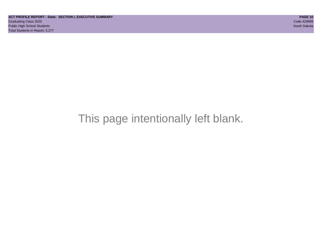### This page intentionally left blank.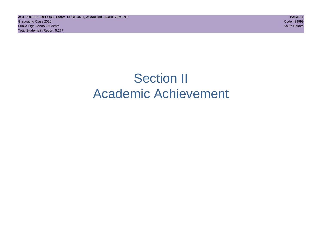# Section II Academic Achievement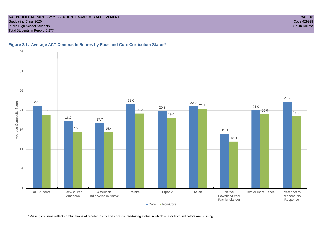

#### **Figure 2.1. Average ACT Composite Scores by Race and Core Curriculum Status\***

\*Missing columns reflect combinations of race/ethnicity and core course-taking status in which one or both indicators are missing.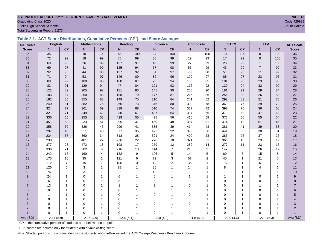#### **ACT PROFILE REPORT- State: SECTION II, ACADEMIC ACHIEVEMENT PAGE 13**

Graduating Class 2020 Code 429999

Public High School Students South Dakota (Control of the Control of the Control of the Control of the Control of the Control of the Control of the Control of the Control of the Control of the Control of the Control of the

Total Students in Report: 5,277

#### **Table 2.1. ACT Score Distributions, Cumulative Percents (CP<sup>1</sup> ), and Score Averages**

| <b>ACT Scale</b> | <b>English</b> |                | <b>Mathematics</b> |     | Reading   |              | <b>Science</b> |                | <b>Composite</b> |              | <b>STEM</b> |              | ELA <sup>2</sup> |                | <b>ACT Scale</b> |
|------------------|----------------|----------------|--------------------|-----|-----------|--------------|----------------|----------------|------------------|--------------|-------------|--------------|------------------|----------------|------------------|
| <b>Score</b>     | $\mathsf{N}$   | CP             | N                  | CP  | ${\sf N}$ | <b>CP</b>    | N              | CP             | N                | CP           | ${\sf N}$   | CP           | $\mathsf{N}$     | CP             | <b>Score</b>     |
| 36               | 35             | 100            | 10                 | 100 | 78        | 100          | 24             | 100            | 3                | 100          | 10          | 100          | $\mathbf 0$      | 100            | 36               |
| 35               | $72\,$         | 99             | 18                 | 99  | 85        | 99           | 30             | 99             | 19               | 99           | $17$        | 99           | $\mathbf 0$      | 100            | 35               |
| 34               | 69             | 98             | 26                 | 99  | 137       | 97           | 49             | 99             | 27               | 99           | 26          | 99           | $\mathbf{1}$     | 100            | 34               |
| 33               | 69             | 97             | 41                 | 99  | 125       | 94           | 67             | 98             | 56               | 99           | 43          | 99           | $\overline{7}$   | 99             | 33               |
| 32               | 92             | 95             | 44                 | 98  | 137       | 92           | 64             | 97             | 78               | 98           | 51          | 98           | 11               | 99             | 32               |
| 31               | 71             | 94             | 53                 | 97  | 146       | 89           | 82             | 96             | 100              | 97           | 88          | 97           | 23               | 97             | 31               |
| 30               | 89             | 92             | 108                | 96  | 160       | 87           | 78             | 94             | 130              | 95           | 101         | 96           | 23               | 93             | $30\,$           |
| 29               | 83             | 91             | 129                | 94  | 47        | 84           | 121            | 93             | 116              | 92           | 129         | 94           | 32               | 90             | 29               |
| 28               | 122            | 89             | 205                | 92  | 181       | 83           | 145            | 90             | 200              | 90           | 181         | 91           | 28               | 84             | 28               |
| 27               | 103            | 87             | 260                | 88  | 198       | 79           | 177            | 87             | 215              | 86           | 256         | 88           | 26               | 80             | 27               |
| 26               | 182            | 85             | 355                | 83  | 149       | 75           | 210            | 84             | 241              | 82           | 292         | 83           | 21               | 76             | 26               |
| 25               | 240            | 81             | 382                | 76  | 266       | 73           | 346            | 80             | 309              | 78           | 369         | 77           | 29               | 72             | 25               |
| 24               | 324            | 77             | 361                | 69  | 338       | 68           | 510            | 74             | 367              | 72           | 397         | 70           | 36               | 68             | 24               |
| 23               | 321            | 71             | 349                | 62  | 330       | 61           | 427            | 64             | 334              | 65           | 379         | 63           | 47               | 62             | 23               |
| 22               | 336            | 65             | 255                | 56  | 429       | 55           | 428            | 56             | 410              | 58           | 376         | 56           | 55               | 54             | 22               |
| 21               | 451            | 58             | 233                | 51  | 305       | 47           | 459            | 48             | 384              | 51           | 414         | 49           | 51               | 46             | 21               |
| 20               | 358            | 50             | 326                | 46  | 299       | 41           | 385            | 39             | 414              | 43           | 381         | 41           | 39               | 38             | 20               |
| 19               | 297            | 43             | 311                | 40  | 377       | 35           | 425            | 32             | 390              | 36           | 441         | 33           | 38               | 31             | 19               |
| 18               | 234            | 37             | 360                | 34  | 318       | 28           | 321            | 24             | 400              | 28           | 385         | 25           | 37               | 25             | 18               |
| 17               | 238            | 33             | 481                | 27  | 276       | 22           | 276            | 18             | 321              | 21           | 363         | 18           | 23               | 19             | 17               |
| 16               | 377            | 28             | 472                | 18  | 198       | 17           | 259            | 12             | 282              | 14           | 277         | 11           | 23               | 16             | 16               |
| 15               | 339            | 21             | 282                | 9   | 216       | 13           | 114            | $\overline{7}$ | 216              | 9            | 142         | 6            | 26               | 12             | 15               |
| 14               | 242            | 15             | 160                | 4   | 182       | 9            | 106            | 5              | 144              | 5            | 89          | 3            | 15               | 8              | 14               |
| 13               | 175            | 10             | 35                 | 1   | 121       | 6            | 72             | 3              | 67               | 2            | 45          | $\mathbf{1}$ | 21               | 5              | 13               |
| 12               | 112            | $\overline{7}$ | 15                 | 1   | 106       | 3            | 42             | 2              | 36               | $\mathbf{1}$ | 15          | $\mathbf{1}$ | 6                | 2              | 12               |
| 11               | 126            | 5              | 3                  | 1   | 38        | $\mathbf{1}$ | 35             | $\mathbf{1}$   | 14               | $\mathbf{1}$ | 8           | $\mathbf{1}$ | $\overline{4}$   | $\mathbf{1}$   | 11               |
| 10               | 76             | $\overline{2}$ | 3                  | 1   | 22        | $\mathbf{1}$ | 12             | 1              | 3                | $\mathbf{1}$ | 1           | 1            | $\mathbf{1}$     | $\overline{1}$ | 10               |
| 9                | 24             |                | $\mathbf 0$        | 1   | 6         | $\mathbf{1}$ | 6              | 1              |                  | 1            | 1           | $\mathbf{1}$ | 0                | $\overline{1}$ | $\boldsymbol{9}$ |
| 8                | 6              | 1              | $\mathbf 0$        | 1   | 6         | $\mathbf{1}$ | 5              | 1              | $\mathbf 0$      | 1            | 0           | $\mathbf{1}$ | 0                | $\overline{1}$ | $\bf 8$          |
| $\overline{7}$   | 13             | -1             | $\mathbf 0$        | 1   | 1         | $\mathbf{1}$ | $\overline{2}$ | 1              | $\Omega$         | $\mathbf{1}$ | 0           | $\mathbf{1}$ | $\mathbf{1}$     | 1              | $\overline{7}$   |
| 6                | 0              | 1              | $\mathbf 0$        | 1   | 0         | $\mathbf{1}$ | $\pmb{0}$      | 1              | $\mathbf 0$      | $\mathbf{1}$ | 0           | $\mathbf{1}$ | $\mathbf 0$      | $\overline{1}$ | $\,$ 6 $\,$      |
| 5                | $\mathbf{1}$   |                | $\mathbf 0$        | 1   | 0         | $\mathbf{1}$ | $\mathbf 0$    | $\mathbf{1}$   | $\Omega$         | 1            | 0           | $\mathbf{1}$ | $\mathbf 0$      | $\overline{1}$ | 5                |
| 4                | 0              | 1              | $\Omega$           | 1   | $\Omega$  | $\mathbf{1}$ | $\mathbf 0$    | 1              | $\Omega$         | $\mathbf{1}$ | 0           | $\mathbf{1}$ | $\Omega$         | 1              | $\overline{4}$   |
| 3                | 0              | 1              | 0                  | 1   | $\pmb{0}$ | $\mathbf{1}$ | $\mathbf 0$    | 1              | 0                | $\mathbf{1}$ | 0           | $\mathbf{1}$ | $\mathbf 0$      | $\overline{1}$ | 3                |
| $\overline{2}$   | 0              | 1              | $\mathbf 0$        | 1   | 0         | $\mathbf{1}$ | $\mathbf 0$    | $\mathbf{1}$   | $\mathbf 0$      | $\mathbf{1}$ | 0           | $\mathbf{1}$ | $\mathbf 0$      | $\overline{1}$ | $\overline{2}$   |
|                  | 0              | 1              | $\Omega$           | 1   | $\Omega$  | $\mathbf{1}$ | $\Omega$       | $\mathbf{1}$   | $\Omega$         | $\mathbf{1}$ | $\Omega$    | $\mathbf{1}$ | $\Omega$         | 1              | $\overline{1}$   |
| Avg (SD)         | 20.7(5.9)      |                | 21.6(4.9)          |     | 22.4(6.1) |              | 22.0(4.9)      |                | 21.8(4.9)        |              | 22.0(4.6)   |              | 22.2(5.3)        |                | Avg (SD)         |

CP is the cumulative percent of students at or below a score point.

ELA scores are derived only for students with a valid writing score.

Note: Shaded portions of columns identify the students who met/exceeded the ACT College Readiness Benchmark Scores.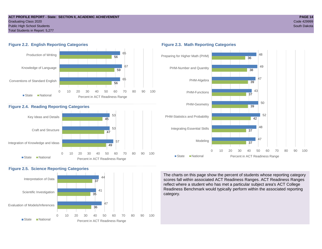#### **ACT PROFILE REPORT - State: SECTION II, ACADEMIC ACHIEVEMENT PAGE 14** Graduating Class 2020 Code 429999 Public High School Students South Dakota Communication Communication Communication Communication Communication Communication Communication Communication Communication Communication Communication Communication Communication Total Students in Report: 5,277



#### **Figure 2.4. Reading Reporting Categories**



#### **Figure 2.5. Science Reporting Categories**





The charts on this page show the percent of students whose reporting category scores fall within associated ACT Readiness Ranges. ACT Readiness Ranges reflect where a student who has met a particular subject area's ACT College Readiness Benchmark would typically perform within the associated reporting category.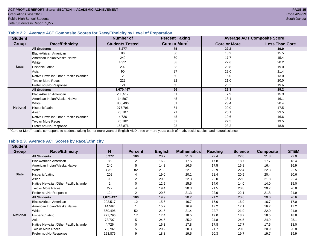#### **Table 2.2. Average ACT Composite Scores for Race/Ethnicity by Level of Preparation**

| <b>Student</b>  |                                                                                                                                                               | <b>Number of</b>       | <b>Percent Taking</b>     |                     | <b>Average ACT Composite Score</b> |
|-----------------|---------------------------------------------------------------------------------------------------------------------------------------------------------------|------------------------|---------------------------|---------------------|------------------------------------|
| <b>Group</b>    | <b>Race/Ethnicity</b>                                                                                                                                         | <b>Students Tested</b> | Core or More <sup>1</sup> | <b>Core or More</b> | <b>Less Than Core</b>              |
|                 | <b>All Students</b>                                                                                                                                           | 5,277                  | 85                        | 22.2                | 19.9                               |
|                 | <b>Black/African American</b>                                                                                                                                 | 86                     | 80                        | 18.2                | 15.5                               |
|                 | American Indian/Alaska Native                                                                                                                                 | 240                    | 60                        | 17.7                | 15.4                               |
|                 | White                                                                                                                                                         | 4,311                  | 88                        | 22.6                | 20.2                               |
| <b>State</b>    | Hispanic/Latino                                                                                                                                               | 202                    | 83                        | 20.8                | 19.0                               |
|                 | Asian                                                                                                                                                         | 90                     | 87                        | 22.0                | 21.4                               |
|                 | Native Hawaiian/Other Pacific Islander                                                                                                                        |                        | 50                        | 15.0                | 13.0                               |
|                 | Two or More Races                                                                                                                                             | 222                    | 82                        | 21.0                | 20.0                               |
|                 | Prefer not/No Response                                                                                                                                        | 124                    | 60                        | 23.2                | 19.6                               |
|                 | <b>All Students</b>                                                                                                                                           | 1,670,497              | 56                        | 22.3                | 19.2                               |
|                 | Black/African American                                                                                                                                        | 203,517                | 51                        | 17.9                | 15.9                               |
|                 | American Indian/Alaska Native                                                                                                                                 | 14,597                 | 45                        | 18.1                | 16.1                               |
|                 | White                                                                                                                                                         | 860,496                | 61                        | 23.4                | 20.4                               |
| <b>National</b> | Hispanic/Latino                                                                                                                                               | 277,796                | 54                        | 20.0                | 17.5                               |
|                 | Asian                                                                                                                                                         | 78,707                 | 71                        | 26.1                | 23.5                               |
|                 | Native Hawaiian/Other Pacific Islander                                                                                                                        | 4,726                  | 45                        | 19.6                | 16.6                               |
|                 | Two or More Races                                                                                                                                             | 76,782                 | 57                        | 22.5                | 19.5                               |
|                 | Prefer not/No Response                                                                                                                                        | 153,876                | 28                        | 23.2                | 18.8                               |
|                 | "Core or More" results correspond to students taking four or more years of English AND three or more years each of math, social studies, and natural science. |                        |                           |                     |                                    |

#### **Table 2.3. Average ACT Scores by Race/Ethnicity**

| <b>Student</b>  |                                        |           |                |                |                    |                |                |                  |             |
|-----------------|----------------------------------------|-----------|----------------|----------------|--------------------|----------------|----------------|------------------|-------------|
| <b>Group</b>    | <b>Race/Ethnicity</b>                  | N         | <b>Percent</b> | <b>English</b> | <b>Mathematics</b> | <b>Reading</b> | <b>Science</b> | <b>Composite</b> | <b>STEM</b> |
|                 | <b>All Students</b>                    | 5,277     | 100            | 20.7           | 21.6               | 22.4           | 22.0           | 21.8             | 22.0        |
|                 | Black/African American                 | 86        | 2              | 16.2           | 17.5               | 17.8           | 18.7           | 17.7             | 18.4        |
|                 | American Indian/Alaska Native          | 240       | 5              | 14.3           | 16.5               | 17.5           | 16.8           | 16.4             | 16.9        |
|                 | White                                  | 4,311     | 82             | 21.3           | 22.1               | 22.9           | 22.4           | 22.3             | 22.5        |
| <b>State</b>    | Hispanic/Latino                        | 202       |                | 19.0           | 20.1               | 21.4           | 20.5           | 20.4             | 20.6        |
|                 | Asian                                  | 90        | 2              | 20.5           | 22.3               | 22.0           | 22.0           | 21.8             | 22.4        |
|                 | Native Hawaiian/Other Pacific Islander | 2         |                | 12.5           | 15.5               | 14.0           | 14.0           | 14.0             | 15.0        |
|                 | Two or More Races                      | 222       |                | 19.4           | 20.3               | 21.5           | 20.8           | 20.7             | 20.8        |
|                 | Prefer not/No Response                 | 124       |                | 20.5           | 21.3               | 22.9           | 22.1           | 21.8             | 21.9        |
|                 | <b>All Students</b>                    | 1,670,497 | 100            | 19.9           | 20.2               | 21.2           | 20.6           | 20.6             | 20.6        |
|                 | Black/African American                 | 203,517   | 12             | 15.6           | 16.7               | 17.0           | 16.9           | 16.7             | 17.0        |
|                 | American Indian/Alaska Native          | 14,597    |                | 15.2           | 16.9               | 17.2           | 17.1           | 16.7             | 17.2        |
|                 | White                                  | 860,496   | 52             | 21.5           | 21.4               | 22.7           | 21.9           | 22.0             | 21.9        |
| <b>National</b> | Hispanic/Latino                        | 277,796   | 17             | 17.4           | 18.5               | 19.0           | 18.7           | 18.5             | 18.8        |
|                 | Asian                                  | 78,707    | 5              | 24.5           | 25.2               | 24.8           | 24.5           | 24.9             | 25.1        |
|                 | Native Hawaiian/Other Pacific Islander | 4,726     | $\Omega$       | 16.3           | 17.8               | 17.8           | 17.7           | 17.5             | 18.0        |
|                 | Two or More Races                      | 76,782    |                | 20.2           | 20.3               | 21.7           | 20.8           | 20.9             | 20.8        |
|                 | Prefer not/No Response                 | 153,876   | 9              | 18.8           | 19.5               | 20.3           | 19.7           | 19.7             | 19.9        |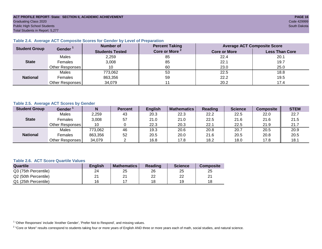#### **ACT PROFILE REPORT- State: SECTION II, ACADEMIC ACHIEVEMENT PAGE 16** Code 429999 Code 429999 Code 429999 Code 429999 Code 429999 Code 429999 Code 429999 Code 429999 Code 429999 Code 429999 Code 429999 Code 429999 Code 429999 Code 429999 Code 429999 Code 429999 Code 429999 Code 429999 Code 4

Public High School Students South Dakota (Control of the Control of the Control of the Control of the Control of the Control of the Control of the Control of the Control of the Control of the Control of the Control of the Total Students in Report: 5,277

#### **Table 2.4. Average ACT Composite Scores for Gender by Level of Preparation**

| <b>Student Group</b> | Gender <sup>1</sup> | <b>Number of</b>       | <b>Percent Taking</b>     | <b>Average ACT Composite Score</b> |                       |  |  |  |
|----------------------|---------------------|------------------------|---------------------------|------------------------------------|-----------------------|--|--|--|
|                      |                     | <b>Students Tested</b> | Core or More <sup>2</sup> | <b>Core or More</b>                | <b>Less Than Core</b> |  |  |  |
|                      | Males               | 2,259                  | 85                        | 22.4                               | 20.1                  |  |  |  |
| <b>State</b>         | Females             | 3,008                  | 85                        | 22.1                               | 19.7                  |  |  |  |
|                      | Other Responses     | 10                     | 60                        | 23.0                               | 25.0                  |  |  |  |
|                      | Males               | 773,062                | 53                        | 22.5                               | 18.8                  |  |  |  |
| <b>National</b>      | Females             | 863,356                | 59                        | 22.2                               | 19.5                  |  |  |  |
|                      | Other Responses     | 34,079                 |                           | 20.2                               | 17.4                  |  |  |  |

#### **Table 2.5. Average ACT Scores by Gender**

| <b>Student Group</b> | <b>Gender</b>   |         | <b>Percent</b> | <b>English</b> | <b>Mathematics</b> | <b>Reading</b> | <b>Science</b> | <b>Composite</b> | <b>STEM</b> |
|----------------------|-----------------|---------|----------------|----------------|--------------------|----------------|----------------|------------------|-------------|
|                      | <b>Males</b>    | 2,259   | 43             | 20.3           | 22.3               | 22.2           | 22.5           | 22.0             | 22.7        |
| <b>State</b>         | Females         | 3,008   | 57             | 21.0           | 21.0               | 22.5           | 21.6           | 21.6             | 21.5        |
|                      | Other Responses | 10      |                | 22.3           | 20.3               | 22.1           | 22.5           | 21.9             | 21.7        |
| <b>National</b>      | <b>Males</b>    | 773,062 | 46             | 19.3           | 20.6               | 20.8           | 20.7           | 20.5             | 20.9        |
|                      | Females         | 863,356 | 52             | 20.5           | 20.0               | 21.6           | 20.5           | 20.8             | 20.5        |
|                      | Other Responses | 34,079  |                | 16.8           | 17.8               | 18.2           | 18.0           | 17.8             | 18.1        |

#### **Table 2.6. ACT Score Quartile Values**

| Quartile             | <b>English</b> | <b>Mathematics</b> | <b>Reading</b> | <b>Science</b> | <b>Composite</b> |
|----------------------|----------------|--------------------|----------------|----------------|------------------|
| Q3 (75th Percentile) | 24             | 25                 | 26             | 25             | 25               |
| Q2 (50th Percentile) | ົາ 1           | ົາ 1               | 22             | 22             | 21               |
| Q1 (25th Percentile) | 16             |                    | 18             | 19             | 18               |

<sup>1</sup> 'Other Responses' include 'Another Gender', 'Prefer Not to Respond', and missing values.

<sup>2</sup> "Core or More" results correspond to students taking four or more years of English AND three or more years each of math, social studies, and natural science.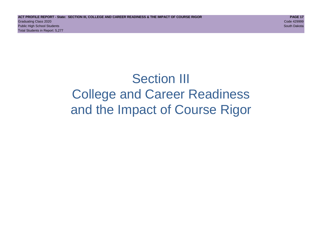## Section III College and Career Readiness and the Impact of Course Rigor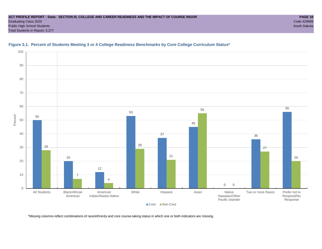

#### **Figure 3.1. Percent of Students Meeting 3 or 4 College Readiness Benchmarks by Core College Curriculum Status\***

\*Missing columns reflect combinations of race/ethnicity and core course-taking status in which one or both indicators are missing.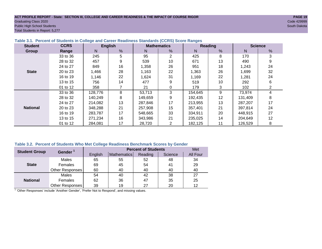Graduating Class 2020 Code 429999

Public High School Students South Dakota Total Students in Report: 5,277

| rable 5.1.  Percent of Students in College and Career Readiness Standards (CCRS) Score Ranges |                                                                                                                      |                                                                                                                                                                                                                                                                                                                                                                                                                                                                                                                                                                                                                                                                                                                                                                                                         |    |    |   |     |   |     |    |  |  |
|-----------------------------------------------------------------------------------------------|----------------------------------------------------------------------------------------------------------------------|---------------------------------------------------------------------------------------------------------------------------------------------------------------------------------------------------------------------------------------------------------------------------------------------------------------------------------------------------------------------------------------------------------------------------------------------------------------------------------------------------------------------------------------------------------------------------------------------------------------------------------------------------------------------------------------------------------------------------------------------------------------------------------------------------------|----|----|---|-----|---|-----|----|--|--|
| <b>Student</b>                                                                                | <b>CCRS</b>                                                                                                          |                                                                                                                                                                                                                                                                                                                                                                                                                                                                                                                                                                                                                                                                                                                                                                                                         |    |    |   |     |   |     |    |  |  |
| Group                                                                                         | Range                                                                                                                | N                                                                                                                                                                                                                                                                                                                                                                                                                                                                                                                                                                                                                                                                                                                                                                                                       | %  | N  | % | N   | % | N   | %  |  |  |
|                                                                                               | 33 to 36                                                                                                             | 245                                                                                                                                                                                                                                                                                                                                                                                                                                                                                                                                                                                                                                                                                                                                                                                                     | 5  | 95 | 2 | 425 | 8 | 170 |    |  |  |
|                                                                                               | 28 to 32                                                                                                             | <b>Science</b><br><b>English</b><br><b>Mathematics</b><br>Reading<br>13<br>457<br>539<br>10<br>9<br>671<br>490<br>16<br>26<br>18<br>849<br>1,358<br>951<br>1,243<br>28<br>22<br>26<br>1,466<br>1,363<br>1,163<br>1,699<br>22<br>31<br>22<br>1,146<br>1,624<br>1,169<br>1,281<br>9<br>10<br>14<br>477<br>519<br>292<br>756<br>358<br>21<br>0<br>179<br>3<br>102<br>3<br>8<br>9<br>53,713<br>128,776<br>154,645<br>73,974<br>12<br>8<br>9<br>140,249<br>149,659<br>192,435<br>131,409<br>13<br>17<br>13<br>214,082<br>213,955<br>287,207<br>287,846<br>21<br>15<br>21<br>348,288<br>257,908<br>357,401<br>397,814<br>33<br>20<br>17<br>448,915<br>283,787<br>548,665<br>334,911<br>16<br>21<br>14<br>204,649<br>271,234<br>343,986<br>235,025<br>17<br>2<br>11<br>284,081<br>28,720<br>182,125<br>126,529 | 9  |    |   |     |   |     |    |  |  |
|                                                                                               | 24 to 27                                                                                                             |                                                                                                                                                                                                                                                                                                                                                                                                                                                                                                                                                                                                                                                                                                                                                                                                         | 24 |    |   |     |   |     |    |  |  |
| <b>State</b>                                                                                  | 20 to 23                                                                                                             |                                                                                                                                                                                                                                                                                                                                                                                                                                                                                                                                                                                                                                                                                                                                                                                                         |    |    |   |     |   |     | 32 |  |  |
|                                                                                               | 16 to 19<br>13 to 15<br>01 to 12<br>33 to 36<br>28 to 32<br>24 to 27<br>20 to 23<br>16 to 19<br>13 to 15<br>01 to 12 |                                                                                                                                                                                                                                                                                                                                                                                                                                                                                                                                                                                                                                                                                                                                                                                                         | 24 |    |   |     |   |     |    |  |  |
|                                                                                               |                                                                                                                      |                                                                                                                                                                                                                                                                                                                                                                                                                                                                                                                                                                                                                                                                                                                                                                                                         |    |    |   |     |   |     |    |  |  |
|                                                                                               |                                                                                                                      |                                                                                                                                                                                                                                                                                                                                                                                                                                                                                                                                                                                                                                                                                                                                                                                                         |    |    |   |     |   |     |    |  |  |
|                                                                                               |                                                                                                                      |                                                                                                                                                                                                                                                                                                                                                                                                                                                                                                                                                                                                                                                                                                                                                                                                         |    |    |   |     |   |     |    |  |  |
| <b>National</b>                                                                               |                                                                                                                      |                                                                                                                                                                                                                                                                                                                                                                                                                                                                                                                                                                                                                                                                                                                                                                                                         |    |    |   |     |   |     | 8  |  |  |
|                                                                                               |                                                                                                                      |                                                                                                                                                                                                                                                                                                                                                                                                                                                                                                                                                                                                                                                                                                                                                                                                         |    |    |   |     |   |     | 17 |  |  |
|                                                                                               |                                                                                                                      |                                                                                                                                                                                                                                                                                                                                                                                                                                                                                                                                                                                                                                                                                                                                                                                                         |    |    |   |     |   |     | 24 |  |  |
|                                                                                               |                                                                                                                      |                                                                                                                                                                                                                                                                                                                                                                                                                                                                                                                                                                                                                                                                                                                                                                                                         |    |    |   |     |   | 27  |    |  |  |
|                                                                                               |                                                                                                                      |                                                                                                                                                                                                                                                                                                                                                                                                                                                                                                                                                                                                                                                                                                                                                                                                         |    |    |   |     |   |     | 12 |  |  |
|                                                                                               |                                                                                                                      |                                                                                                                                                                                                                                                                                                                                                                                                                                                                                                                                                                                                                                                                                                                                                                                                         |    |    |   |     |   |     | 8  |  |  |

|  |  | Table 3.1. Percent of Students in College and Career Readiness Standards (CCRS) Score Ranges |  |  |
|--|--|----------------------------------------------------------------------------------------------|--|--|
|  |  |                                                                                              |  |  |

#### **Table 3.2. Percent of Students Who Met College Readiness Benchmark Scores by Gender**

| <b>Student Group</b> | Gender <sup>1</sup> |         | Met         |         |         |          |
|----------------------|---------------------|---------|-------------|---------|---------|----------|
|                      |                     | English | Mathematics | Reading | Science | All Four |
|                      | Males               | 65      | 55          | 52      |         | 34       |
| <b>State</b>         | Females             | 69      | 45          | 54      | 41      | 29       |
|                      | Other Responses     | 60      | 40          | 40      | 40      | 40       |
|                      | <b>Males</b>        | 54      | 40          | 42      | 38      | 27       |
| <b>National</b>      | Females             | 62      | 36          | 47      | 35      | 25       |
|                      | Other Responses     | 39      | 19          | 27      | 20      | 12       |

<sup>1</sup> 'Other Responses' include 'Another Gender', 'Prefer Not to Respond', and missing values.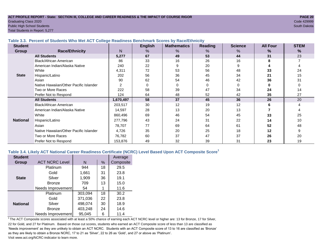Graduating Class 2020 Code 429999

Public High School Students South Dakota (Control of the Control of the Control of the Control of the Control of the Control of the Control of the Control of the Control of the Control of the Control of the Control of the

Total Students in Report: 5,277

**Table 3.3. Percent of Students Who Met ACT College Readiness Benchmark Scores by Race/Ethnicity**

| <b>Student</b>  |                                        |           | <b>English</b> | <b>Mathematics</b> | Reading  | <b>Science</b> | <b>All Four</b> | <b>STEM</b> |
|-----------------|----------------------------------------|-----------|----------------|--------------------|----------|----------------|-----------------|-------------|
| Group           | <b>Race/Ethnicity</b>                  | N         | %              | %                  | %        | %              | %               | $\%$        |
|                 | <b>All Students</b>                    | 5,277     | 67             | 49                 | 53       | 44             | 31              | 23          |
|                 | Black/African American                 | 86        | 33             | 16                 | 26       | 16             |                 |             |
|                 | American Indian/Alaska Native          | 240       | 22             | 9                  | 20       | 9              |                 |             |
|                 | White                                  | 4,311     | 72             | 53                 | 56       | 48             | 33              | 24          |
| <b>State</b>    | Hispanic/Latino                        | 202       | 56             | 36                 | 45       | 34             | 21              | 15          |
|                 | Asian                                  | 90        | 62             | 54                 | 46       | 42             | 36              | 31          |
|                 | Native Hawaiian/Other Pacific Islander |           |                | <sup>0</sup>       | $\Omega$ | 0              |                 |             |
|                 | Two or More Races                      | 222       | 58             | 39                 | 47       | 34             | 24              | 14          |
|                 | Prefer Not to Respond                  | 124       | 64             | 48                 | 52       | 42             | 35              | 27          |
|                 | <b>All Students</b>                    | 1,670,497 | 58             | 37                 | 45       | 36             | 26              | 20          |
|                 | Black/African American                 | 203,517   | 30             | 12                 | 19       | 12             |                 |             |
|                 | American Indian/Alaska Native          | 14,597    | 28             | 13                 | 20       | 13             |                 |             |
|                 | White                                  | 860,496   | 69             | 46                 | 54       | 45             | 33              | 25          |
| <b>National</b> | Hispanic/Latino                        | 277,796   | 43             | 24                 | 31       | 22             | 14              | 10          |
|                 | Asian                                  | 78,707    | 77             | 69                 | 64       | 61             | 52              | 48          |
|                 | Native Hawaiian/Other Pacific Islander | 4,726     | 35             | 20                 | 25       | 18             | 12              | 9           |
|                 | Two or More Races                      | 76,782    | 60             | 37                 | 47       | 37             | 26              | 20          |
|                 | Prefer Not to Respond                  | 153,876   | 49             | 32                 | 39       | 31             | 23              | 19          |

#### **Table 3.4. Likely ACT National Career Readiness Certificate (NCRC) Level Based Upon ACT Composite Score<sup>1</sup>**

| <b>Student</b>  |                       |         |      | Average   |
|-----------------|-----------------------|---------|------|-----------|
| Group           | <b>ACT NCRC Level</b> | N       | $\%$ | Composite |
|                 | Platinum              | 944     | 18   | 29.5      |
|                 | Gold                  | 1,661   | 31   | 23.8      |
| <b>State</b>    | Silver                | 1,909   | 36   | 19.1      |
|                 | <b>Bronze</b>         | 709     | 13   | 15.0      |
|                 | Needs Improvement     | 54      | 1    | 11.6      |
|                 | Platinum              | 303,094 | 18   | 30.2      |
|                 | Gold                  | 371,036 | 22   | 23.8      |
| <b>National</b> | Silver                | 498,074 | 30   | 18.9      |
|                 | <b>Bronze</b>         | 403,248 | 24   | 14.6      |
|                 | Needs Improvement     | 95,045  | 6    | 11.4      |

<sup>1</sup>The ACT Composite scores associated with at least a 50% chance of earning each ACT NCRC level or higher are: 13 for Bronze, 17 for Silver, 22 for Gold, and 27 for Platinum. Based on those cut scores, students who earned an ACT Composite score of less than 13 are classified as 'Needs improvement' as they are unlikely to obtain an ACT NCRC. Students with an ACT Composite score of 13 to 16 are classified as 'Bronze' as they are likely to obtain a Bronze NCRC, 17 to 21 as 'Silver', 22 to 26 as 'Gold', and 27 or above as 'Platinum'. Visit www.act.org/NCRC-indicator to learn more.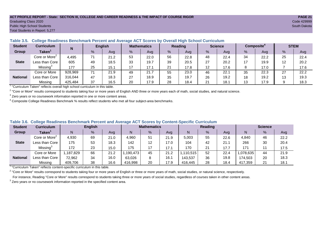#### Graduating Class 2020 Code 429999

| <b>Student</b>  | <b>Curriculum</b>         | N       | <b>English</b> |      | <b>Mathematics</b> |      | <b>Reading</b> |      | <b>Science</b> |      | <b>Composite<sup>4</sup></b> |      | <b>STEM</b> |      |
|-----------------|---------------------------|---------|----------------|------|--------------------|------|----------------|------|----------------|------|------------------------------|------|-------------|------|
| Group           | <b>Taken</b>              |         | %              | Avg  | %                  | Avg  | $\%$           | Avg  | %              | Avg  | %                            | Avg  | %           | Avg  |
|                 | Core or More <sup>2</sup> | 4,495   | 71             | 21.2 | 53                 | 22.0 | 56             | 22.8 | 48             | 22.4 | 34                           | 22.2 | 25          | 22.4 |
| <b>State</b>    | Less than Core            | 605     | 49             | 18.5 | 33                 | 19.7 | 39             | 20.5 | 27             | 20.2 | 17                           | 19.9 | 10<br>L.    | 20.2 |
|                 | Missing                   | 177     | 25             | 15.1 |                    | 17.7 | 21             | 17.8 | 12             | 17.6 | 8                            | 7.0  |             | 17.6 |
|                 | Core or More              | 928,969 | 71             | 21.9 | 49                 | 21.7 | 55             | 23.0 | 46             | 22.7 | 35                           | 22.3 | 27          | 22.2 |
| <b>National</b> | Less than Core            | 316.044 | 47             | 18.3 | ົ                  | 18.9 | 35             | 19.7 | 26             | 19.2 | 18                           | 19.2 | 10<br>ت ا   | 19.3 |
|                 | Missing                   | 425,484 | 37             | 16.5 | 20                 | 17.9 | 28             | 18.4 | 21             | 18.1 | 13                           | 7.9  |             | 18.3 |

#### **Table 3.5. College Readiness Benchmark Percent and Average ACT Scores by Overall High School Curriculum**

 $1$  "Curriculum Taken" reflects overall high school curriculum in this table.

<sup>2</sup> "Core or More" results correspond to students taking four or more years of English AND three or more years each of math, social studies, and natural science.

 $3$  Zero years or no coursework information reported in one or more content areas.

<sup>4</sup> Composite College Readiness Benchmark % results reflect students who met all four subject-area benchmarks.

#### **Table 3.6. College Readiness Benchmark Percent and Average ACT Scores by Content-Specific Curriculum**

| <b>Student</b>  | <b>Curriculum</b>                                 |          | <b>English</b> |      |          | <b>Mathematics</b> |      |           | <b>Reading</b> |      |           | <b>Science</b> |      |  |
|-----------------|---------------------------------------------------|----------|----------------|------|----------|--------------------|------|-----------|----------------|------|-----------|----------------|------|--|
| <b>Group</b>    | $\mathsf{Taken}^{\scriptscriptstyle{\textsf{T}}}$ | N        | $\%$           | Avg  | N        | $\%$               | Avg  |           | %              | Avg  | N         | %              | Avg  |  |
|                 | Core or More <sup>2</sup>                         | 4.930    | 69             | 21.0 | 4.960    | 51                 | 21.9 | 5.003     | 55             | 22.6 | 4.840     | 46             | 22.2 |  |
| <b>State</b>    | Less than Core                                    | 175      | 53             | 18.3 | 142      | 12                 | 17.0 | 104       | 42             | 21.1 | 266       | 30             | 20.4 |  |
|                 | Missing <sup>3</sup>                              | 172      | 23             | 15.0 | 175      | 17                 | 17.1 | 170       | 21             | 17.7 | 171       | 11             | 17.5 |  |
|                 | Core or More                                      | .187.829 | 66             | 21.2 | .190.473 | 45                 | 21.2 | 1.110.515 | 52             | 22.4 | 1,078,635 | 44             | 21.9 |  |
| <b>National</b> | Less than Core                                    | 72.962   | 34             | 16.0 | 63.026   |                    | 16.  | 143,537   | 36             | 19.8 | 174.503   | 20             | 18.3 |  |
|                 | Missing                                           | 409,706  | 38             | 16.6 | 416,998  | 20                 | 17.9 | 416,445   | 28             | 18.4 | 417,359   | 21             | 18.1 |  |

<sup>1</sup> "Curriculum Taken" reflects content-specific curriculum in this table.

<sup>2</sup> "Core or More" results correspond to students taking four or more years of English or three or more years of math, social studies, or natural science, respectively.

For instance, Reading "Core or More" results correspond to students taking three or more years of social studies, regardless of courses taken in other content areas.

 $3$  Zero years or no coursework information reported in the specified content area.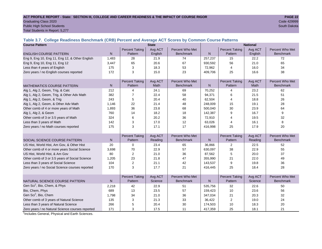Graduating Class 2020 Code 429999 Public High School Students South Dakota

Total Students in Report: 5,277

#### **Table 3.7. College Readiness Benchmark (CRB) Percent and Average ACT Scores by Common Course Patterns**

| <b>Course Pattern</b>                                                         |              |                                  | <b>State</b>    |                                     | <b>National</b>   |                                  |                 |                                     |  |  |  |
|-------------------------------------------------------------------------------|--------------|----------------------------------|-----------------|-------------------------------------|-------------------|----------------------------------|-----------------|-------------------------------------|--|--|--|
|                                                                               |              | Percent Taking                   | Avg ACT         | Percent Who Met                     |                   | <b>Percent Taking</b>            | Avg ACT         | Percent Who Met                     |  |  |  |
| <b>ENGLISH COURSE PATTERN</b>                                                 | N.           | Pattern                          | English         | <b>Benchmark</b>                    | $\mathsf{N}$      | Pattern                          | English         | <b>Benchmark</b>                    |  |  |  |
| Eng 9, Eng 10, Eng 11, Eng 12, & Other English                                | 1,483        | 28                               | 21.9            | 74                                  | 257,237           | 15                               | 22.2            | 72                                  |  |  |  |
| Eng 9, Eng 10, Eng 11, Eng 12                                                 | 3,447        | 65                               | 20.6            | 67                                  | 930,592           | 56                               | 21.0            | 65                                  |  |  |  |
| Less than 4 years of English                                                  | 175          | 3                                | 18.3            | 53                                  | 72,962            | 4                                | 16.0            | 34                                  |  |  |  |
| Zero years / no English courses reported                                      | 172          | 3                                | 15.0            | 23                                  | 409,706           | 25                               | 16.6            | 38                                  |  |  |  |
|                                                                               |              |                                  |                 |                                     |                   |                                  |                 |                                     |  |  |  |
| <b>MATHEMATICS COURSE PATTERN</b>                                             | N            | <b>Percent Taking</b><br>Pattern | Avg ACT<br>Math | Percent Who Met<br><b>Benchmark</b> | N                 | <b>Percent Taking</b><br>Pattern | Avg ACT<br>Math | Percent Who Met<br><b>Benchmark</b> |  |  |  |
|                                                                               |              |                                  |                 |                                     |                   |                                  |                 |                                     |  |  |  |
| Alg 1, Alg 2, Geom, Trig, & Calc                                              | 212          | 4                                | 24.1            | 69                                  | 70,252            | 4                                | 23.2<br>21.5    | 62                                  |  |  |  |
| Alg 1, Alg 2, Geom, Trig, & Other Adv Math                                    | 382          | $\overline{7}$                   | 22.4            | 58                                  | 94,371            | 6                                | 18.8            | 51                                  |  |  |  |
| Alg 1, Alg 2, Geom, & Trig                                                    | 243<br>1,146 | 5<br>22                          | 20.4<br>21.4    | 40<br>48                            | 62,504<br>248,009 | $\overline{4}$<br>15             | 19.1            | 26<br>28                            |  |  |  |
| Alg 1, Alg 2, Geom, & Other Adv Math<br>Other comb of 4 or more years of Math | 1,893        | 36                               | 23.8            | 68                                  | 500,040           | 30                               | 23.9            | 64                                  |  |  |  |
| Alg 1, Alg 2, & Geom                                                          | 760          | 14                               | 18.2            | 18                                  | 142,387           | 9                                | 16.7            | 9                                   |  |  |  |
| Other comb of 3 or 3.5 years of Math                                          | 324          | 6                                | 20.2            | 36                                  | 72,910            | 4                                | 19.5            | 32                                  |  |  |  |
| Less than 3 years of Math                                                     | 142          | 3                                | 17.0            | 12                                  | 63,026            | 4                                | 16.1            | 8                                   |  |  |  |
| Zero years / no Math courses reported                                         | 175          | 3                                | 17.1            | 17                                  | 416,998           | 25                               | 17.9            | 20                                  |  |  |  |
|                                                                               |              |                                  |                 |                                     |                   |                                  |                 |                                     |  |  |  |
|                                                                               |              | <b>Percent Taking</b>            | Avg ACT         | Percent Who Met                     |                   | <b>Percent Taking</b>            | Avg ACT         | Percent Who Met                     |  |  |  |
| SOCIAL SCIENCE COURSE PATTERN                                                 | N            | Pattern                          | Reading         | <b>Benchmark</b>                    | N                 | Pattern                          | Reading         | <b>Benchmark</b>                    |  |  |  |
| US Hist, World Hist, Am Gov, & Other Hist                                     | 20           | 0                                | 23.4            | 65                                  | 36,866            | $\overline{2}$                   | 22.5            | 52                                  |  |  |  |
| Other comb of 4 or more years Social Science                                  | 3,698        | 70                               | 22.9            | 57                                  | 630,097           | 38                               | 22.9            | 55                                  |  |  |  |
| US Hist, World Hist, & Am Gov                                                 | 80           | 2                                | 21.0            | 36                                  | 87,562            | 5                                | 20.0            | 37                                  |  |  |  |
| Other comb of 3 or 3.5 years of Social Science                                | 1,205        | 23                               | 21.8            | 47                                  | 355,990           | 21                               | 22.0            | 49                                  |  |  |  |
| Less than 3 years of Social Science                                           | 104          | $\mathbf 2$                      | 21.1            | 42                                  | 143,537           | 9                                | 19.8            | 36                                  |  |  |  |
| Zero years / no Social Science courses reported                               | 170          | 3                                | 17.7            | 21                                  | 416,445           | 25                               | 18.4            | 28                                  |  |  |  |
|                                                                               |              | <b>Percent Taking</b>            | Avg ACT         | Percent Who Met                     |                   | <b>Percent Taking</b>            | Avg ACT         | Percent Who Met                     |  |  |  |
| NATURAL SCIENCE COURSE PATTERN                                                | N.           | Pattern                          | Science         | <b>Benchmark</b>                    | N                 | Pattern                          | Science         | <b>Benchmark</b>                    |  |  |  |
| Gen Sci <sup>1</sup> , Bio, Chem, & Phys                                      | 2,218        | 42                               | 22.9            | 51                                  | 535,756           | 32                               | 22.6            | 50                                  |  |  |  |
| Bio, Chem, Phys                                                               | 689          | 13                               | 23.5            | 57                                  | 159,423           | 10                               | 23.6            | 56                                  |  |  |  |
| Gen Sci <sup>1</sup> , Bio, Chem                                              | 1,798        | 34                               | 21.0            | 36                                  | 347,034           | 21                               | 20.3            | 32                                  |  |  |  |
| Other comb of 3 years of Natural Science                                      | 135          | 3                                | 21.3            | 33                                  | 36,422            | $\overline{2}$                   | 19.0            | 24                                  |  |  |  |
| Less than 3 years of Natural Science                                          | 266          | 5                                | 20.4            | 30                                  | 174,503           | 10                               | 18.3            | 20                                  |  |  |  |
| Zero years / no Natural Science courses reported                              | 171          | 3                                | 17.5            | 11                                  | 417,359           | 25                               | 18.1            | 21                                  |  |  |  |

<sup>1</sup>Includes General, Physical and Earth Sciences.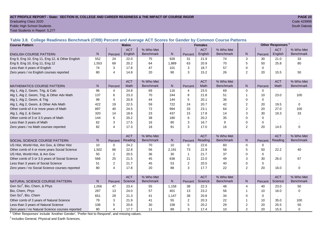#### **ACT PROFILE REPORT - State: SECTION III, COLLEGE AND CAREER READINESS & THE IMPACT OF COURSE RIGOR PAGE 23** Graduating Class 2020 Code 429999

Public High School Students South Dakota

Total Students in Report: 5,277

#### **Table 3.8. College Readiness Benchmark (CRB) Percent and Average ACT Scores for Gender by Common Course Patterns**

| <b>Males</b><br><b>Females</b><br><b>Course Pattern</b> |              |                |            |                  |              |                | Other Responses <sup>1</sup> |                  |                |             |            |                  |
|---------------------------------------------------------|--------------|----------------|------------|------------------|--------------|----------------|------------------------------|------------------|----------------|-------------|------------|------------------|
|                                                         |              |                | <b>ACT</b> | % Who Met        |              |                | <b>ACT</b>                   | % Who Met        |                |             | <b>ACT</b> | % Who Met        |
| <b>ENGLISH COURSE PATTERN</b>                           | $\mathsf{N}$ | Percent        | English    | <b>Benchmark</b> | $\mathsf{N}$ | Percent        | English                      | <b>Benchmark</b> | N              | Percent     | English    | Benchmark        |
| Eng 9, Eng 10, Eng 11, Eng 12, & Other English          | 552          | 24             | 22.0       | 75               | 928          | 31             | 21.9                         | 74               | 3              | 30          | 21.0       | 33               |
| Eng 9, Eng 10, Eng 11, Eng 12                           | 1,553        | 69             | 20.2       | 64               | 1,889        | 63             | 20.9                         | 70               | 5              | 50          | 25.8       | 80               |
| Less than 4 years of English                            | 74           | 3              | 17.8       | 47               | 101          | 3              | 18.7                         | 57               | 0              | $\mathbf 0$ |            |                  |
| Zero years / no English courses reported                | 80           | $\overline{4}$ | 14.8       | 20               | 90           | 3              | 15.2                         | 26               | 2              | 20          | 15.5       | 50               |
|                                                         |              |                | <b>ACT</b> | % Who Met        |              |                | <b>ACT</b>                   | % Who Met        |                |             | <b>ACT</b> | % Who Met        |
| <b>MATHEMATICS COURSE PATTERN</b>                       | $\mathsf{N}$ | Percent        | Math       | <b>Benchmark</b> | $\mathsf{N}$ | Percent        | Math                         | <b>Benchmark</b> | $\mathsf{N}$   | Percent     | Math       | <b>Benchmark</b> |
| Alg 1, Alg 2, Geom, Trig, & Calc                        | 96           | 4              | 24.8       | 69               | 116          | 4              | 23.5                         | 69               | 0              | 0           |            |                  |
| Alg 1, Alg 2, Geom, Trig, & Other Adv Math              | 137          | 6              | 23.3       | 70               | 244          | 8              | 21.8                         | 51               |                | 10          | 23.0       | 100              |
| Alg 1, Alg 2, Geom, & Trig                              | 99           | $\overline{4}$ | 20.8       | 44               | 144          | 5              | 20.1                         | 36               | 0              | $\mathbf 0$ |            |                  |
| Alg 1, Alg 2, Geom, & Other Adv Math                    | 422          | 19             | 22.5       | 59               | 722          | 24             | 20.7                         | 42               | 2              | 20          | 19.5       | $\mathbf 0$      |
| Other comb of 4 or more years of Math                   | 897          | 40             | 24.5       | 72               | 994          | 33             | 23.1                         | 64               | 2              | 20          | 27.0       | 100              |
| Alg 1, Alg 2, & Geom                                    | 320          | 14             | 18.6       | 23               | 437          | 15             | 17.8                         | 14               | 3              | 30          | 19.3       | 33               |
| Other comb of 3 or 3.5 years of Math                    | 144          | 6              | 20.2       | 38               | 180          | 6              | 20.2                         | 35               | 0              | 0           |            |                  |
| Less than 3 years of Math                               | 62           | 3              | 17.5       | 16               | 80           | 3              | 16.7                         | 9                | 0              | 0           |            |                  |
| Zero years / no Math courses reported                   | 82           | $\Delta$       | 17.3       | 18               | 91           | 3              | 17.0                         | 16               | 2              | 20          | 14.5       | $\Omega$         |
|                                                         |              |                | <b>ACT</b> | % Who Met        |              |                | <b>ACT</b>                   | % Who Met        |                |             | <b>ACT</b> | % Who Met        |
| SOCIAL SCIENCE COURSE PATTERN                           | $\mathsf{N}$ | Percent        | Reading    | <b>Benchmark</b> | $\mathsf{N}$ | Percent        | Reading                      | <b>Benchmark</b> | N              | Percent     | Reading    | Benchmark        |
| US Hist, World Hist, Am Gov, & Other Hist               | 10           | 0              | 24.2       | 70               | 10           | $\Omega$       | 22.6                         | 60               | 0              | 0           |            |                  |
| Other comb of 4 or more years Social Science            | 1,502        | 66             | 22.8       | 56               | 2,191        | 73             | 22.9                         | 58               | 5              | 50          | 22.2       | 40               |
| US Hist, World Hist, & Am Gov                           | 50           | $\overline{2}$ | 20.5       | 36               | 30           | 1              | 21.7                         | 37               | 0              | 0           |            |                  |
| Other comb of 3 or 3.5 years of Social Science          | 566          | 25             | 21.5       | 45               | 636          | 21             | 22.0                         | 49               | 3              | 30          | 26.0       | 67               |
| Less than 3 years of Social Science                     | 51           | $\overline{2}$ | 21.7       | 45               | 53           | $\overline{2}$ | 20.5                         | 40               | 0              | 0           |            |                  |
| Zero years / no Social Science courses reported         | 80           | $\overline{4}$ | 17.8       | 20               | 88           | 3              | 17.7                         | 22               | 2              | 20          | 16.0       | $\Omega$         |
|                                                         |              |                | <b>ACT</b> | % Who Met        |              |                | <b>ACT</b>                   | % Who Met        |                |             | <b>ACT</b> | % Who Met        |
| NATURAL SCIENCE COURSE PATTERN                          | N            | Percent        | Science    | <b>Benchmark</b> | N            | Percent        | Science                      | <b>Benchmark</b> | N.             | Percent     | Science    | Benchmark        |
| Gen Sci <sup>2</sup> , Bio, Chem, & Phys                | 1,056        | 47             | 23.4       | 55               | 1,158        | 38             | 22.3                         | 48               | $\overline{4}$ | 40          | 23.0       | 50               |
| Bio, Chem, Phys                                         | 287          | 13             | 24.0       | 57               | 401          | 13             | 23.2                         | 56               |                | 10          | 16.0       | $\mathbf 0$      |
| Gen Sci <sup>1</sup> , Bio, Chem                        | 651          | 29             | 21.3       | 41               | 1.147        | 38             | 20.8                         | 34               | 0              | 0           |            |                  |
| Other comb of 3 years of Natural Science                | 79           | 3              | 21.9       | 41               | 55           | $\overline{2}$ | 20.3                         | 22               |                | 10          | 35.0       | 100              |
| Less than 3 years of Natural Science                    | 106          | 5              | 20.6       | 30               | 158          | 5              | 20.2                         | 29               | $\overline{c}$ | 20          | 25.5       | 50               |
| Zero years / no Natural Science courses reported        | 80           | 4              | 17.7       | 11               | 89           | 3              | 17.4                         | 10               | 2              | 20          | 15.5       | $\mathbf 0$      |

<sup>1</sup> 'Other Responses' include 'Another Gender', 'Prefer Not to Respond', and missing values.

 $2$  Includes General, Physical and Earth Sciences.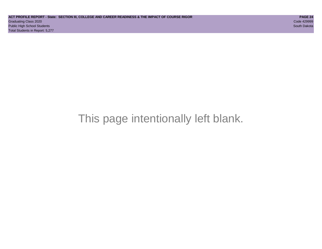### This page intentionally left blank.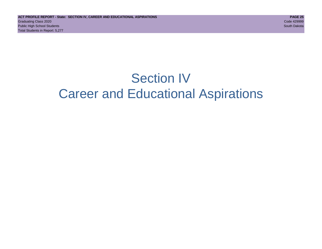## Section IV Career and Educational Aspirations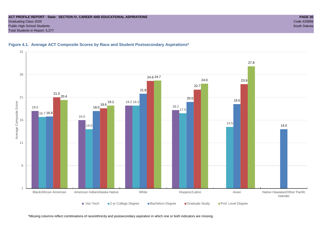



\*Missing columns reflect combinations of race/ethnicity and postsecondary aspiration in which one or both indicators are missing.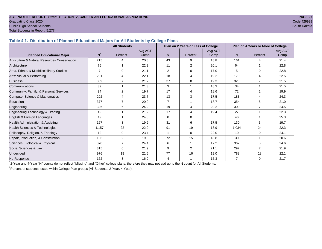#### **ACT PROFILE REPORT - State: SECTION IV, CAREER AND EDUCATIONAL ASPIRATIONS PAGE 27**

Graduating Class 2020 Code 429999

Public High School Students South Dakota

Total Students in Report: 5,277

|  |  | Table 4.1.  Distribution of Planned Educational Majors for All Students by College Plans |  |  |  |  |  |  |  |
|--|--|------------------------------------------------------------------------------------------|--|--|--|--|--|--|--|
|--|--|------------------------------------------------------------------------------------------|--|--|--|--|--|--|--|

|                                              | <b>All Students</b> |                      |                 |                | Plan on 2 Years or Less of College |                 | Plan on 4 Years or More of College |                       |                 |  |
|----------------------------------------------|---------------------|----------------------|-----------------|----------------|------------------------------------|-----------------|------------------------------------|-----------------------|-----------------|--|
| <b>Planned Educational Major</b>             | N <sup>1</sup>      | Percent <sup>2</sup> | Avg ACT<br>Comp | N.             | Percent                            | Avg ACT<br>Comp | N                                  | Percent               | Avg ACT<br>Comp |  |
| Agriculture & Natural Resources Conservation | 215                 | $\Delta$             | 20.8            | 43             | 9                                  | 18.8            | 161                                |                       | 21.4            |  |
| Architecture                                 | 76                  |                      | 22.3            | 11             | 2                                  | 20.1            | 64                                 |                       | 22.8            |  |
| Area, Ethnic, & Multidisciplinary Studies    |                     | $\Omega$             | 21.1            | $\overline{2}$ | 0                                  | 17.0            | 5                                  | $\Omega$              | 22.8            |  |
| Arts: Visual & Performing                    | 201                 |                      | 22.1            | 18             | $\boldsymbol{\Delta}$              | 19.2            | 170                                | $\boldsymbol{\Delta}$ | 22.5            |  |
| <b>Business</b>                              | 369                 |                      | 21.2            | 37             | 8                                  | 19.3            | 320                                | 7                     | 21.5            |  |
| Communications                               | 39                  |                      | 21.3            | 3              |                                    | 18.3            | 34                                 | $\overline{1}$        | 21.5            |  |
| Community, Family, & Personal Services       | 94                  | 2                    | 19.7            | 17             |                                    | 18.6            | 72                                 | 2                     | 19.9            |  |
| <b>Computer Science &amp; Mathematics</b>    | 202                 |                      | 23.7            | 13             | З                                  | 17.5            | 183                                |                       | 24.3            |  |
| Education                                    | 377                 |                      | 20.9            | 7              |                                    | 18.7            | 354                                | 8                     | 21.0            |  |
| Engineering                                  | 326                 | 6                    | 24.2            | 19             | $\Lambda$                          | 20.2            | 300                                | 7                     | 24.5            |  |
| Engineering Technology & Drafting            | 49                  |                      | 21.2            | 17             | $\overline{4}$                     | 19.4            | 27                                 | $\overline{1}$        | 22.3            |  |
| English & Foreign Languages                  | 49                  |                      | 24.8            | $\Omega$       | $\Omega$                           |                 | 46                                 |                       | 25.3            |  |
| Health Administration & Assisting            | 167                 | 3                    | 19.2            | 31             | 6                                  | 17.5            | 130                                | 3                     | 19.7            |  |
| Health Sciences & Technologies               | 1,157               | 22                   | 22.0            | 91             | 19                                 | 18.9            | 1,034                              | 24                    | 22.3            |  |
| Philosophy, Religion, & Theology             | 12                  | $\mathbf 0$          | 23.4            |                | 0                                  | 22.0            | 10                                 | 0                     | 24.1            |  |
| Repair, Production, & Construction           | 106                 | $\overline{2}$       | 19.3            | 72             | 15                                 | 18.8            | 30                                 | $\overline{1}$        | 20.6            |  |
| Sciences: Biological & Physical              | 378                 |                      | 24.4            | 6              |                                    | 17.2            | 367                                | 8                     | 24.6            |  |
| Social Sciences & Law                        | 315                 | 6                    | 21.9            | 9              | $\mathcal{P}$                      | 21.1            | 297                                | 7                     | 21.9            |  |
| Undecided                                    | 976                 | 18                   | 21.6            | 77             | 16                                 | 19.0            | 788                                | 18                    | 22.1            |  |
| No Response                                  | 162                 | 3                    | 16.9            |                |                                    | 15.3            | 7                                  | $\Omega$              | 21.7            |  |

1 2-Year and 4-Year "N" counts do not reflect "Missing" and "Other" college plans, therefore they may not add up to the N count for All Students.

<sup>2</sup>Percent of students tested within College Plan groups (All Students, 2-Year, 4-Year).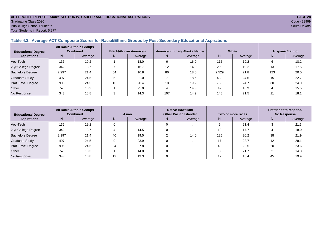#### **ACT PROFILE REPORT - State: SECTION IV, CAREER AND EDUCATIONAL ASPIRATIONS PAGE 28**

Graduating Class 2020 Code 429999 Public High School Students South Dakota (Control of the Control of the Control of the Control of the Control of the Control of the Control of the Control of the Control of the Control of the Control of the Control of the

Total Students in Report: 5,277

### **Table 4.2. Average ACT Composite Scores for Racial/Ethnic Groups by Post-Secondary Educational Aspirations**

| <b>All Racial/Ethnic Groups</b><br><b>Combined</b><br><b>Educational Degree</b> |       | <b>Black/African American</b> |    | American Indian/ Alaska Native |     |         | White | Hispanic/Latino |     |         |
|---------------------------------------------------------------------------------|-------|-------------------------------|----|--------------------------------|-----|---------|-------|-----------------|-----|---------|
| <b>Aspirations</b>                                                              | N     | Average                       | N  | Average                        | N   | Average | Ν     | Average         | N.  | Average |
| Voc-Tech                                                                        | 136   | 19.2                          |    | 18.0                           | 6   | 16.0    | 115   | 19.2            | 6   | 18.2    |
| 2-yr College Degree                                                             | 342   | 18.7                          |    | 16.7                           | 12  | 14.0    | 290   | 19.2            | 13  | 17.5    |
| <b>Bachelors Degree</b>                                                         | 2,997 | 21.4                          | 54 | 16.8                           | 86  | 18.0    | 2,529 | 21.8            | 123 | 20.0    |
| <b>Graduate Study</b>                                                           | 497   | 24.5                          |    | 21.0                           |     | 18.6    | 432   | 24.6            | 15  | 22.7    |
| Prof. Level Degree                                                              | 905   | 24.5                          | 15 | 20.4                           | 18  | 19.2    | 755   | 24.7            | 30  | 24.0    |
| Other                                                                           | 57    | 18.3                          |    | 25.0                           |     | 14.3    | 42    | 18.9            |     | 15.5    |
| No Response                                                                     | 343   | 18.8                          |    | 14.3                           | 107 | 14.9    | 148   | 21.5            |     | 18.1    |

| <b>All Racial/Ethnic Groups</b><br><b>Combined</b><br><b>Educational Degree</b> |       | Asian   |          |         | Native Hawaiian/<br><b>Other Pacific Islander</b> |         | Two or more races | Prefer not to respond/<br><b>No Response</b> |                 |         |
|---------------------------------------------------------------------------------|-------|---------|----------|---------|---------------------------------------------------|---------|-------------------|----------------------------------------------|-----------------|---------|
| <b>Aspirations</b>                                                              | N.    | Average | N        | Average | N.                                                | Average | N                 | Average                                      | N               | Average |
| Voc-Tech                                                                        | 136   | 19.2    | $\Omega$ |         |                                                   |         |                   | 21.4                                         |                 | 21.3    |
| 2-yr College Degree                                                             | 342   | 18.7    |          | 14.5    |                                                   |         | $12 \overline{ }$ | 17.7                                         |                 | 18.0    |
| <b>Bachelors Degree</b>                                                         | 2,997 | 21.4    | 40       | 19.5    |                                                   | 14.0    | 125               | 20.2                                         | 38              | 21.9    |
| <b>Graduate Study</b>                                                           | 497   | 24.5    | 9        | 23.9    |                                                   |         | 17                | 23.7                                         | 12 <sup>°</sup> | 28.1    |
| Prof. Level Degree                                                              | 905   | 24.5    | 24       | 27.8    |                                                   |         | 43                | 22.5                                         | 20              | 23.6    |
| Other                                                                           | 57    | 18.3    |          | 14.0    |                                                   |         |                   | 21.7                                         |                 | 14.0    |
| No Response                                                                     | 343   | 18.8    | 12       | 19.3    |                                                   |         | 17                | 18.4                                         | 45              | 19.9    |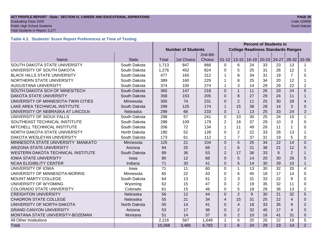#### **ACT PROFILE REPORT - State: SECTION IV, CAREER AND EDUCATIONAL ASPIRATIONS PAGE 29**

Graduating Class 2020 Code 429999 Public High School Students

Total Students in Report: 5,277

#### **Table 4.3. Students' Score Report Preferences at Time of Testing**

|                                     | <b>Percent of Students in</b> |                           |                                           |         |                         |                         |                 |                 |    |                          |                          |
|-------------------------------------|-------------------------------|---------------------------|-------------------------------------------|---------|-------------------------|-------------------------|-----------------|-----------------|----|--------------------------|--------------------------|
|                                     |                               | <b>Number of Students</b> | <b>College Readiness Standards Ranges</b> |         |                         |                         |                 |                 |    |                          |                          |
|                                     |                               |                           |                                           | 2nd-6th |                         |                         |                 |                 |    |                          |                          |
| Name                                | <b>State</b>                  | Total                     | 1st Choice                                | Choice  | $01 - 12$               | $13 - 15$               | $16 - 19$       | $20 - 23$ 24-27 |    | 28-32                    | 33-36                    |
| SOUTH DAKOTA STATE UNIVERSITY       | South Dakota                  | 1,713                     | 847                                       | 866     | $\mathbf 0$             | 6                       | 24              | 33              | 23 | 13                       |                          |
| UNIVERSITY OF SOUTH DAKOTA          | South Dakota                  | 1,276                     | 452                                       | 824     | $\Omega$                | 5                       | 25              | 31              | 26 | 12                       | 1                        |
| <b>BLACK HILLS STATE UNIVERSITY</b> | South Dakota                  | 477                       | 165                                       | 312     | 1                       | 8                       | 34              | 31              | 19 | $\overline{7}$           | 0                        |
| NORTHERN STATE UNIVERSITY           | South Dakota                  | 389                       | 160                                       | 229     | $\overline{\mathbf{1}}$ | 8                       | 25              | 34              | 20 | 12                       | 1                        |
| <b>AUGUSTANA UNIVERSITY</b>         | South Dakota                  | 374                       | 100                                       | 274     | $\mathbf{1}$            | 3                       | 14              | 29              | 29 | 22                       | $\overline{2}$           |
| SOUTH DAKOTA SCH OF MINES/TECH      | South Dakota                  | 365                       | 147                                       | 218     | $\overline{0}$          | $\mathbf{1}$            | 11              | 26              | 33 | 24                       | 5                        |
| <b>DAKOTA STATE UNIVERSITY</b>      | South Dakota                  | 358                       | 153                                       | 205     | $\Omega$                | 8                       | 27              | 29              | 24 | 11                       | 1                        |
| UNIVERSITY OF MINNESOTA-TWIN CITIES | Minnesota                     | 305                       | 74                                        | 231     | $\Omega$                | $\overline{2}$          | 11              | 25              | 30 | 28                       | $\overline{\mathcal{A}}$ |
| LAKE AREA TECHNICAL INSTITUTE       | South Dakota                  | 299                       | 125                                       | 174     | $\mathbf{1}$            | 15                      | 38              | 28              | 14 | 3                        | 0                        |
| UNIVERSITY OF NEBRASKA AT LINCOLN   | Nebraska                      | 299                       | 66                                        | 233     | $\mathbf 0$             | $\mathbf{1}$            | 13              | 25              | 33 | 24                       | 3                        |
| UNIVERSITY OF SIOUX FALLS           | South Dakota                  | 298                       | 57                                        | 241     | $\mathbf 0$             | 10                      | $\overline{30}$ | 25              | 24 | 10                       | $\mathbf{1}$             |
| SOUTHEAST TECHNICAL INSTITUTE       | South Dakota                  | 288                       | 109                                       | 179     | $\overline{2}$          | 18                      | 37              | 29              | 10 | 3                        | 0                        |
| MITCHELL TECHNICAL INSTITUTE        | South Dakota                  | 206                       | 72                                        | 134     | $\mathbf 1$             | 11                      | 49              | 26              | 11 | 1                        | $\Omega$                 |
| NORTH DAKOTA STATE UNIVERSITY       | North Dakota                  | 180                       | 52                                        | 128     | $\Omega$                | $\overline{2}$          | 22              | 33              | 28 | 13                       | 1                        |
| DAKOTA WESLEYAN UNIVERSITY          | South Dakota                  | 173                       | 61                                        | 112     | 1                       | $\overline{7}$          | 37              | 31              | 19 | 5                        | 0                        |
| MINNESOTA STATE UNIVERSITY MANKATO  | Minnesota                     | 125                       | 21                                        | 104     | $\overline{0}$          | 5                       | 25              | 34              | 22 | 14                       | $\overline{0}$           |
| ARIZONA STATE UNIVERSITY            | Arizona                       | 94                        | 25                                        | 69      | $\mathbf{1}$            | 6                       | 21              | 38              | 21 | 12                       | $\Omega$                 |
| WESTERN DAKOTA TECHNICAL INSTITUTE  | South Dakota                  | 89                        | 36                                        | 53      | $\overline{2}$          | 17                      | 36              | 33              | 9  | 2                        |                          |
| <b>IOWA STATE UNIVERSITY</b>        | lowa                          | 80                        | 12                                        | 68      | $\Omega$                | 5                       | 14              | 20              | 30 | 26                       | 5                        |
| <b>NCAA ELIGIBILITY CENTER</b>      | Indiana                       | 71                        | 30                                        | 41      | $\mathbf 0$             | 6                       | 14              | 30              | 39 | 10                       | $\mathbf{1}$             |
| UNIVERSITY OF IOWA                  | lowa                          | 71                        | 11                                        | 60      | $\mathbf 0$             | $\mathbf{1}$            | 13              | 30              | 32 | 20                       | 4                        |
| UNIVERSITY OF MINNESOTA-MORRIS      | Minnesota                     | 65                        | 22                                        | 43      | $\mathbf 0$             | 6                       | 45              | 18              | 17 | 14                       | 0                        |
| <b>MOUNT MARTY COLLEGE</b>          | South Dakota                  | 64                        | 13                                        | 51      | $\overline{2}$          | 3                       | 31              | 33              | 22 | 9                        | 0                        |
| UNIVERSITY OF WYOMING               | Wyoming                       | 62                        | 15                                        | 47      | $\mathbf 0$             | $\overline{2}$          | 19              | 35              | 32 | 11                       | 0                        |
| <b>COLORADO STATE UNIVERSITY</b>    | Colorado                      | 61                        | 15                                        | 46      | $\Omega$                | 5                       | 18              | 26              | 36 | 13                       | $\overline{2}$           |
| <b>CREIGHTON UNIVERSITY</b>         | Nebraska                      | 56                        | 12                                        | 44      | $\Omega$                | $\overline{2}$          | 9               | 30              | 21 | 32                       | 5                        |
| <b>CHADRON STATE COLLEGE</b>        | Nebraska                      | 55                        | 21                                        | 34      | $\overline{4}$          | 15                      | 31              | 25              | 22 | $\overline{\mathcal{A}}$ | $\Omega$                 |
| UNIVERSITY OF NORTH DAKOTA          | North Dakota                  | 55                        | 14                                        | 41      | $\Omega$                | $\overline{\mathbf{4}}$ | 18              | 33              | 35 | 9                        | $\overline{2}$           |
| <b>GRAND CANYON UNIVERSITY</b>      | Arizona                       | 53                        | 17                                        | 36      | $\Omega$                | $\overline{2}$          | 32              | 45              | 17 | $\overline{\mathcal{A}}$ | $\Omega$                 |
| MONTANA STATE UNIVERSITY-BOZEMAN    | Montana                       | 51                        | 14                                        | 37      | $\mathbf 0$             | $\overline{2}$          | 10              | 16              | 41 | 31                       | 0                        |
| <b>All Other Institutions</b>       |                               | 2,216                     | 567                                       | 1,649   | 1                       | 6                       | 20              | 26              | 22 | 19                       | 5                        |
| <b>Total</b>                        |                               | 10,268                    | 3,485                                     | 6,783   | $\mathbf{1}$            | 6                       | 24              | 29              | 23 | 14                       | $\overline{2}$           |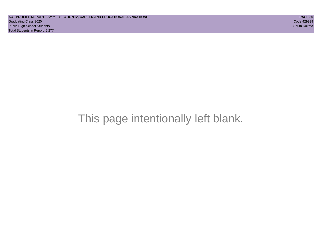### This page intentionally left blank.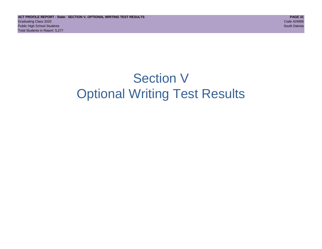# Section V Optional Writing Test Results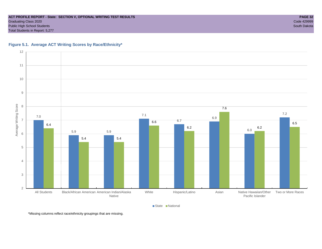



■State ■National

\*Missing columns reflect race/ethnicity groupings that are missing.